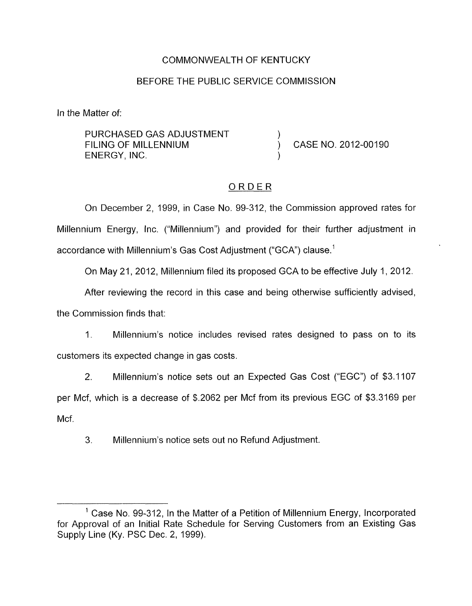## COMMONWEALTH OF KENTUCKY

#### BEFORE THE PUBLIC SERVICE COMMISSION

In the Matter of:

PURCHASED GAS ADJUSTMENT  $)$ <br>FILING OF MILLENNIUM ENERGY, INC. )

CASE NO. 2012-00190

### ORDER

On December 2, 1999, in Case No. 99-312, the Commission approved rates for Millennium Energy, Inc. ("Millennium") and provided for their further adjustment in accordance with Millennium's Gas Cost Adjustment ("GCA") clause.<sup>1</sup>

On May 21, 2012, Millennium filed its proposed GCA to be effective July 1, 2012.

After reviewing the record in this case and being otherwise sufficiently advised,

the Commission finds that:

1. Millennium's notice includes revised rates designed to pass on to its customers its expected change in gas costs.

2. Millennium's notice sets out an Expected Gas Cost ("EGC") of \$3.1 107 per Mcf, which is a decrease of \$.2062 per Mcf from its previous EGC of \$3.3169 per Mcf.

3. Millennium's notice sets out no Refund Adjustment.

 $<sup>1</sup>$  Case No. 99-312, In the Matter of a Petition of Millennium Energy, Incorporated</sup> for Approval of an Initial Rate Schedule for Serving Customers from an Existing Gas Supply Line (Ky. PSC Dec. 2, 1999).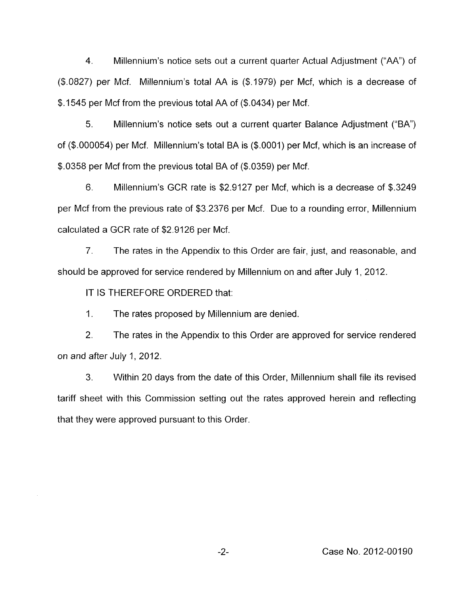4. Millennium's notice sets out a current quarter Actual Adjustment ("AA") of (\$.0827) per Mcf. Millennium's total AA is (\$.1979) per Mcf, which is a decrease of \$.I545 per Mcf from the previous total AA of (\$.0434) per Mcf.

5. Millennium's notice sets out a current quarter Balance Adjustment ("BA") of (\$.000054) per Mcf. Millennium's total BA is (\$.0001) per Mcf, which is an increase of \$.0358 per Mcf from the previous total BA of (\$.0359) per Mcf.

6. Millennium's GCR rate is \$2.9127 per Mcf, which is a decrease of \$.3249 per Mcf from the previous rate of \$3.2376 per Mcf. Due to a rounding error, Millennium calculated a GCR rate of \$2.9126 per Mcf.

*7.* The rates in the Appendix to this Order are fair, just, and reasonable, and should be approved for service rendered by Millennium on and after July 1, 2012.

IT IS THEREFORE ORDERED that:

**1.**  The rates proposed by Millennium are denied.

2. The rates in the Appendix to this Order are approved for service rendered on and after July 1, 2012.

3. Within 20 days from the date of this Order, Millennium shall file its revised tariff sheet with this Commission setting out the rates approved herein and reflecting that they were approved pursuant to this Order.

-2- Case No. 2012-00190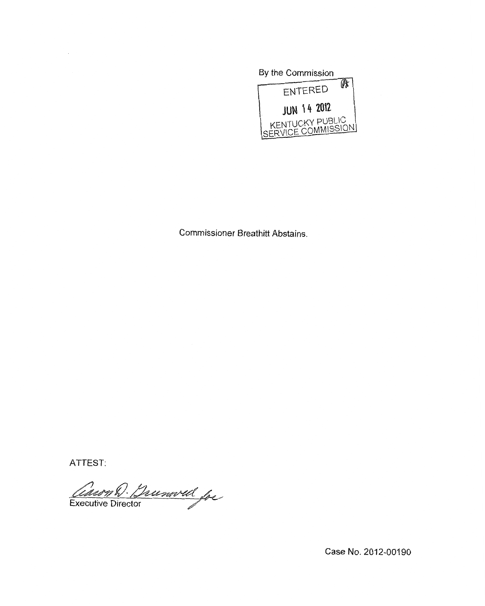

Commissioner Breathitt Abstains.

ATTEST:

Cauryh Dunwell for

Case No. 2012-00190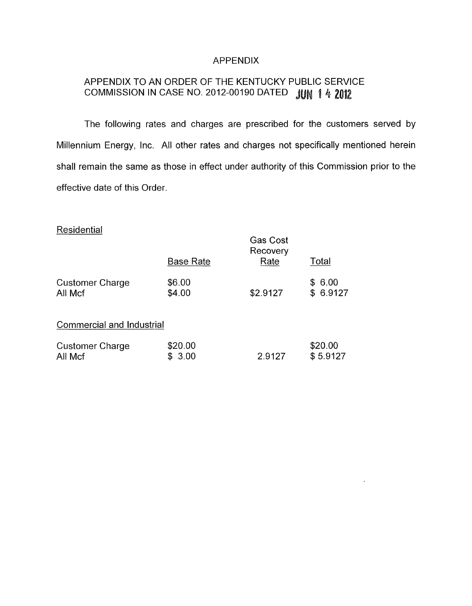## APPENDIX

# APPENDIX TO AN ORDER OF THE KENTUCKY PUBLIC SERVICE COMMISSION IN CASE NO. 2012-00190 DATED JUN 1 4 2012

The following rates and charges are prescribed for the customers served by Millennium Energy, Inc. All other rates and charges not specifically mentioned herein shall remain the same as those in effect under authority of this Commission prior to the effective date of this Order.

 $\ddot{\phantom{1}}$ 

# **Residential**

|                                  | <b>Base Rate</b> | Gas Cost<br>Recovery<br>Rate | Total    |
|----------------------------------|------------------|------------------------------|----------|
| <b>Customer Charge</b>           | \$6.00           | \$2.9127                     | \$6.00   |
| All Mcf                          | \$4.00           |                              | \$6.9127 |
| <b>Commercial and Industrial</b> |                  |                              |          |
| <b>Customer Charge</b>           | \$20.00          | 2.9127                       | \$20.00  |
| All Mcf                          | \$3.00           |                              | \$5.9127 |